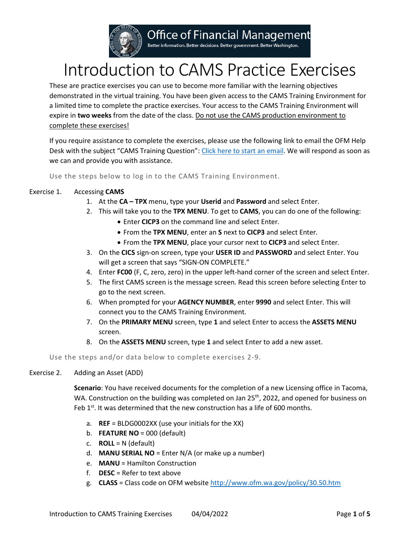

**Office of Financial Management** 

Better information. Better decisions. Better government. Better Washington.

# Introduction to CAMS Practice Exercises

These are practice exercises you can use to become more familiar with the learning objectives demonstrated in the virtual training. You have been given access to the CAMS Training Environment for a limited time to complete the practice exercises. Your access to the CAMS Training Environment will expire in **two weeks** from the date of the class. Do not use the CAMS production environment to complete these exercises!

If you require assistance to complete the exercises, please use the following link to email the OFM Help Desk with the subject "CAMS Training Question": [Click here to start an email.](mailto:HeretoHelp@ofm.wa.gov?subject=CAMS%20Training%20Question) We will respond as soon as we can and provide you with assistance.

Use the steps below to log in to the CAMS Training Environment.

# Exercise 1. Accessing **CAMS**

- 1. At the **CA TPX** menu, type your **Userid** and **Password** and select Enter.
- 2. This will take you to the **TPX MENU**. To get to **CAMS**, you can do one of the following:
	- Enter **CICP3** on the command line and select Enter*.*
	- From the **TPX MENU**, enter an **S** next to **CICP3** and select Enter*.*
	- From the **TPX MENU**, place your cursor next to **CICP3** and select Enter*.*
- 3. On the **CICS** sign-on screen, type your **USER ID** and **PASSWORD** and select Enter. You will get a screen that says "SIGN-ON COMPLETE."
- 4. Enter **FC00** (F, C, zero, zero) in the upper left-hand corner of the screen and select Enter.
- 5. The first CAMS screen is the message screen. Read this screen before selecting Enter to go to the next screen.
- 6. When prompted for your **AGENCY NUMBER**, enter **9990** and select Enter. This will connect you to the CAMS Training Environment.
- 7. On the **PRIMARY MENU** screen, type **1** and select Enter to access the **ASSETS MENU** screen.
- 8. On the **ASSETS MENU** screen, type **1** and select Enter to add a new asset.

Use the steps and/or data below to complete exercises 2-9.

## Exercise 2. Adding an Asset (ADD)

**Scenario**: You have received documents for the completion of a new Licensing office in Tacoma, WA. Construction on the building was completed on Jan 25<sup>th</sup>, 2022, and opened for business on Feb 1<sup>st</sup>. It was determined that the new construction has a life of 600 months.

- a. **REF** = BLDG0002XX (use your initials for the XX)
- b. **FEATURE NO** = 000 (default)
- c. **ROLL** = N (default)
- d. **MANU SERIAL NO** = Enter N/A (or make up a number)
- e. **MANU** = Hamilton Construction
- f. **DESC** = Refer to text above
- g. **CLASS** = Class code on OFM website<http://www.ofm.wa.gov/policy/30.50.htm>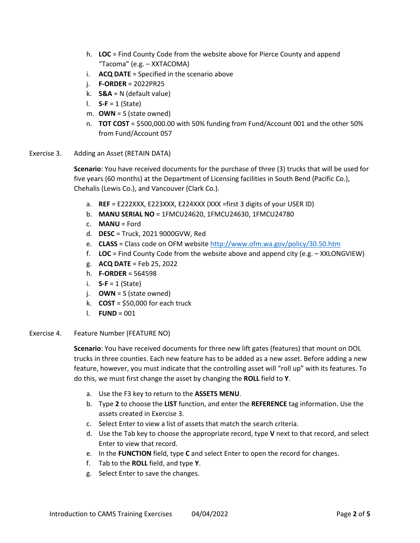- h. **LOC** = Find County Code from the website above for Pierce County and append "Tacoma" (e.g. – XXTACOMA)
- i. **ACQ DATE** = Specified in the scenario above
- j. **F-ORDER** = 2022PR25
- k. **S&A** = N (default value)
- l. **S-F** = 1 (State)
- m. **OWN** = S (state owned)
- n. **TOT COST** = \$500,000.00 with 50% funding from Fund/Account 001 and the other 50% from Fund/Account 057
- Exercise 3. Adding an Asset (RETAIN DATA)

**Scenario**: You have received documents for the purchase of three (3) trucks that will be used for five years (60 months) at the Department of Licensing facilities in South Bend (Pacific Co.), Chehalis (Lewis Co.), and Vancouver (Clark Co.).

- a. **REF** = E222XXX, E223XXX, E224XXX (XXX =first 3 digits of your USER ID)
- b. **MANU SERIAL NO** = 1FMCU24620, 1FMCU24630, 1FMCU24780
- c. **MANU** = Ford
- d. **DESC** = Truck, 2021 9000GVW, Red
- e. **CLASS** = Class code on OFM website<http://www.ofm.wa.gov/policy/30.50.htm>
- f. **LOC** = Find County Code from the website above and append city (e.g. XXLONGVIEW)
- g. **ACQ DATE** = Feb 25, 2022
- h. **F-ORDER** = 564598
- i. **S-F** = 1 (State)
- j. **OWN** = S (state owned)
- k. **COST** = \$50,000 for each truck
- $I.$  **FUND** = 001

### Exercise 4. Feature Number (FEATURE NO)

**Scenario**: You have received documents for three new lift gates (features) that mount on DOL trucks in three counties. Each new feature has to be added as a new asset. Before adding a new feature, however, you must indicate that the controlling asset will "roll up" with its features. To do this, we must first change the asset by changing the **ROLL** field to **Y**.

- a. Use the F3 key to return to the **ASSETS MENU**.
- b. Type **2** to choose the **LIST** function, and enter the **REFERENCE** tag information. Use the assets created in Exercise 3.
- c. Select Enter to view a list of assets that match the search criteria.
- d. Use the Tab key to choose the appropriate record, type **V** next to that record, and select Enter to view that record.
- e. In the **FUNCTION** field, type **C** and select Enter to open the record for changes.
- f. Tab to the **ROLL** field, and type **Y**.
- g. Select Enter to save the changes.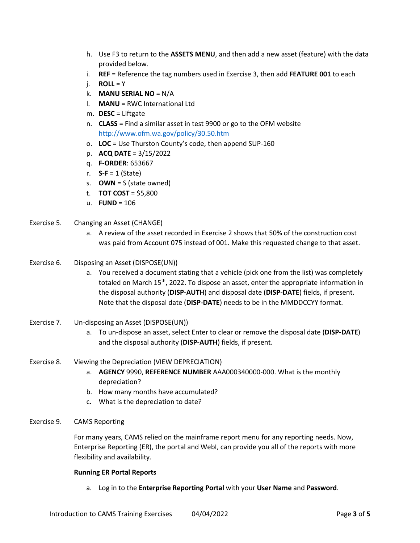- h. Use F3 to return to the **ASSETS MENU**, and then add a new asset (feature) with the data provided below.
- i. **REF** = Reference the tag numbers used in Exercise 3, then add **FEATURE 001** to each
- j. **ROLL** = Y
- k. **MANU SERIAL NO** = N/A
- l. **MANU** = RWC International Ltd
- m. **DESC** = Liftgate
- n. **CLASS** = Find a similar asset in test 9900 or go to the OFM website <http://www.ofm.wa.gov/policy/30.50.htm>
- o. **LOC** = Use Thurston County's code, then append SUP-160
- p. **ACQ DATE** = 3/15/2022
- q. **F-ORDER**: 653667
- r. **S-F** = 1 (State)
- s. **OWN** = S (state owned)
- t. **TOT COST** = \$5,800
- u. **FUND** = 106
- Exercise 5. Changing an Asset (CHANGE)
	- a. A review of the asset recorded in Exercise 2 shows that 50% of the construction cost was paid from Account 075 instead of 001. Make this requested change to that asset.
- Exercise 6. Disposing an Asset (DISPOSE(UN))
	- a. You received a document stating that a vehicle (pick one from the list) was completely totaled on March 15<sup>th</sup>, 2022. To dispose an asset, enter the appropriate information in the disposal authority (**DISP-AUTH**) and disposal date (**DISP-DATE**) fields, if present. Note that the disposal date (**DISP-DATE**) needs to be in the MMDDCCYY format.
- Exercise 7. Un-disposing an Asset (DISPOSE(UN))
	- a. To un-dispose an asset, select Enter to clear or remove the disposal date (**DISP-DATE**) and the disposal authority (**DISP-AUTH**) fields, if present.
- Exercise 8. Viewing the Depreciation (VIEW DEPRECIATION)
	- a. **AGENCY** 9990, **REFERENCE NUMBER** AAA000340000-000. What is the monthly depreciation?
	- b. How many months have accumulated?
	- c. What is the depreciation to date?
- Exercise 9. CAMS Reporting

For many years, CAMS relied on the mainframe report menu for any reporting needs. Now, Enterprise Reporting (ER), the portal and WebI, can provide you all of the reports with more flexibility and availability.

#### **Running ER Portal Reports**

a. Log in to the **Enterprise Reporting Portal** with your **User Name** and **Password**.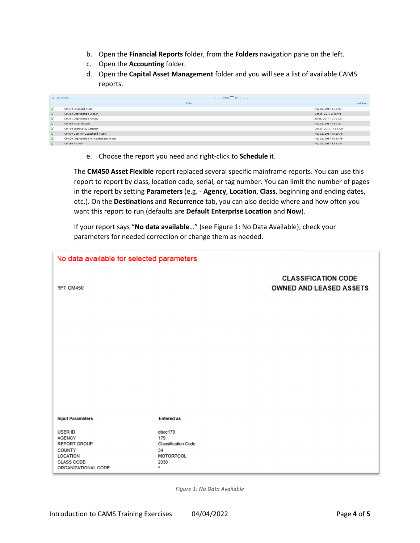- b. Open the **Financial Reports** folder, from the **Folders** navigation pane on the left.
- c. Open the **Accounting** folder.
- d. Open the **Capital Asset Management** folder and you will see a list of available CAMS reports.

| <b>Details</b>       |                                           |                       |                 |
|----------------------|-------------------------------------------|-----------------------|-----------------|
|                      | <b>Title</b>                              |                       | <b>Last Run</b> |
| ₽                    | CM370 Disposed Asset                      | Nov 02, 2017 1:30 PM  |                 |
| $\sqrt{2}$           | CM380 Depreciation Ledger                 | Oct 26, 2017 2:19 PM  |                 |
| $\overline{\bullet}$ | CM385 Depreciation History                | Jul 06, 2017 10:10 AM |                 |
| <b>V</b>             | CM450 Asset Flexible                      | Nov 03, 2017 4:59 PM  |                 |
| $\sqrt{2}$           | CM750 Subtotal By Category                | Oct 31, 2017 11:52 AM |                 |
| ٠                    | CM810 Cost For Capitalized Assets         | Nov 02, 2017 10:29 AM |                 |
| Ð                    | CM820 Depreciation For Capitalized Assets | Nov 02, 2017 10:30 AM |                 |
| $\sqrt{2}$           | CM850 Activity                            | Nov 02, 2017 8:55 AM  |                 |

e. Choose the report you need and right-click to **Schedule** it.

The **CM450 Asset Flexible** report replaced several specific mainframe reports. You can use this report to report by class, location code, serial, or tag number. You can limit the number of pages in the report by setting **Parameters** (e.g. - **Agency**, **Location**, **Class**, beginning and ending dates, etc.). On the **Destinations** and **Recurrence** tab, you can also decide where and how often you want this report to run (defaults are **Default Enterprise Location** and **Now**).

If your report says "**No data available**…" (see [Figure 1: No Data Available\)](#page-3-0), check your parameters for needed correction or change them as needed.

| No data available for selected parameters                   |                                                    |                                                              |  |  |  |  |
|-------------------------------------------------------------|----------------------------------------------------|--------------------------------------------------------------|--|--|--|--|
| RPT CM450                                                   |                                                    | <b>CLASSIFICATION CODE</b><br><b>OWNED AND LEASED ASSETS</b> |  |  |  |  |
|                                                             |                                                    |                                                              |  |  |  |  |
|                                                             |                                                    |                                                              |  |  |  |  |
|                                                             |                                                    |                                                              |  |  |  |  |
|                                                             |                                                    |                                                              |  |  |  |  |
|                                                             |                                                    |                                                              |  |  |  |  |
| <b>Input Parameters</b>                                     | <b>Entered as</b>                                  |                                                              |  |  |  |  |
| <b>USER ID</b><br>AGENCY<br><b>REPORT GROUP</b><br>COUNTY   | dbac179<br>179<br><b>Classification Code</b><br>34 |                                                              |  |  |  |  |
| <b>LOCATION</b><br><b>CLASS CODE</b><br>ORGANIZATIONAL CODE | <b>MOTORPOOL</b><br>2330<br>$\star$                |                                                              |  |  |  |  |

<span id="page-3-0"></span>*Figure 1: No Data Available*